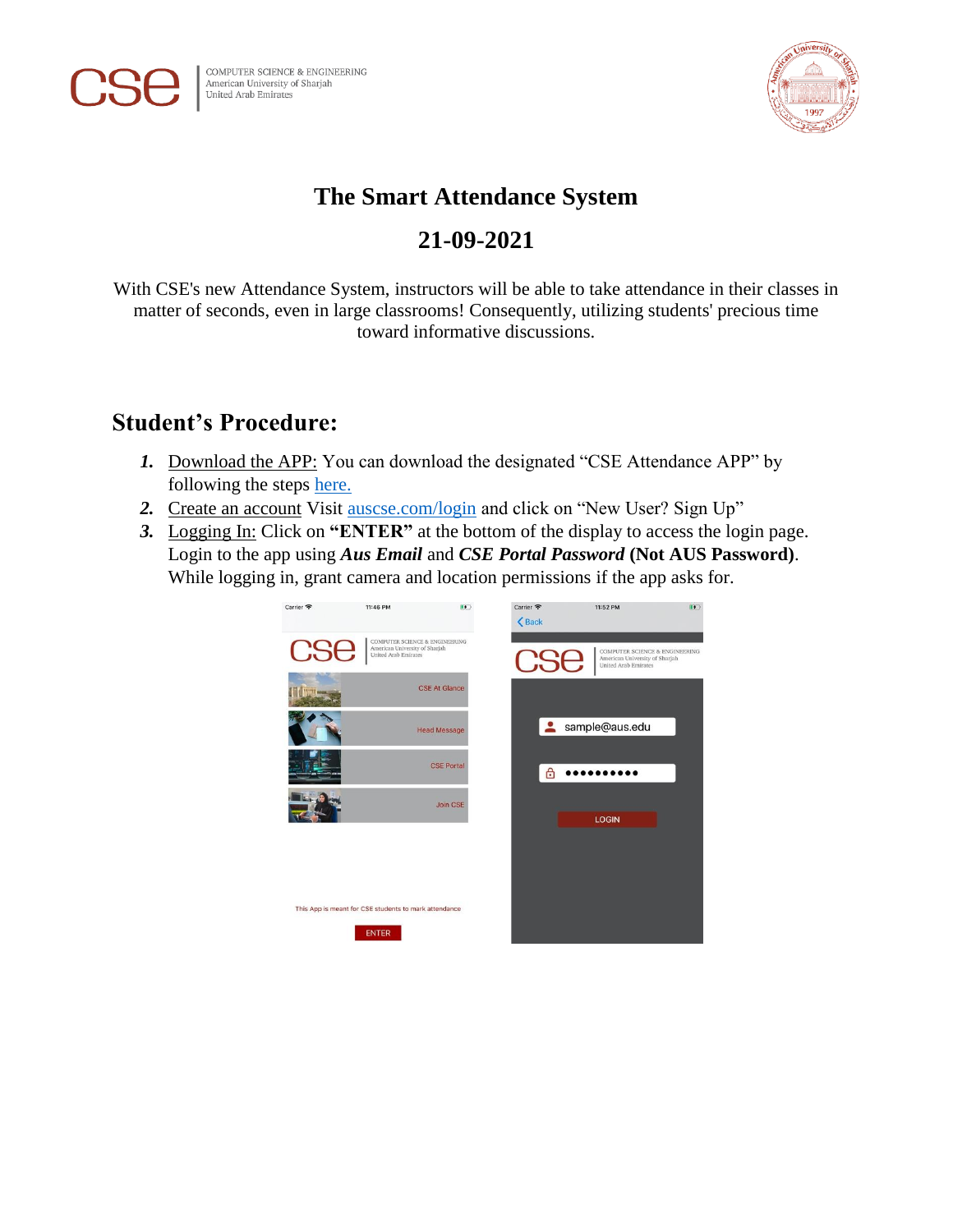



## **The Smart Attendance System**

## **21-09-2021**

With CSE's new Attendance System, instructors will be able to take attendance in their classes in matter of seconds, even in large classrooms! Consequently, utilizing students' precious time toward informative discussions.

## **Student's Procedure:**

- *1.* Download the APP: You can download the designated "CSE Attendance APP" by following the steps [here.](http://auscse.com/attendance/)
- 2. Create an account Visit [auscse.com/login](http://www.auscse.com/login) and click on "New User? Sign Up"
- *3.* Logging In: Click on **"ENTER"** at the bottom of the display to access the login page. Login to the app using *Aus Email* and *CSE Portal Password* **(Not AUS Password)**. While logging in, grant camera and location permissions if the app asks for.

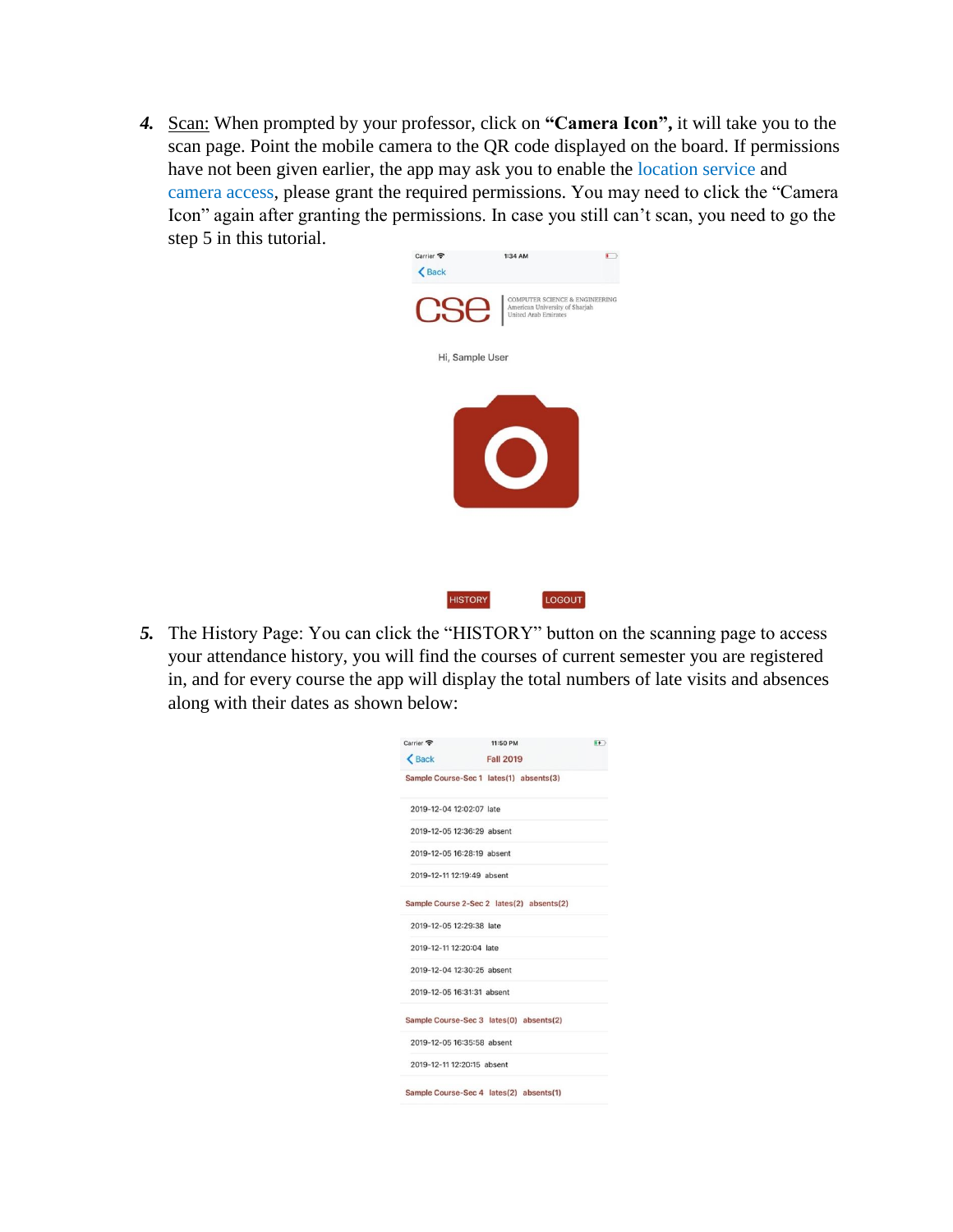*4.* Scan: When prompted by your professor, click on **"Camera Icon",** it will take you to the scan page. Point the mobile camera to the QR code displayed on the board. If permissions have not been given earlier, the app may ask you to enable the location service and camera access, please grant the required permissions. You may need to click the "Camera Icon" again after granting the permissions. In case you still can't scan, you need to go the step 5 in this tutorial.



*5.* The History Page: You can click the "HISTORY" button on the scanning page to access your attendance history, you will find the courses of current semester you are registered in, and for every course the app will display the total numbers of late visits and absences along with their dates as shown below:

| Carrier <b>@</b>           | 11:50 PM                                  | $\left  \frac{1}{2} \right $ |
|----------------------------|-------------------------------------------|------------------------------|
| <b>くBack</b>               | <b>Fall 2019</b>                          |                              |
|                            | Sample Course-Sec 1 lates(1) absents(3)   |                              |
| 2019-12-04 12:02:07 late   |                                           |                              |
| 2019-12-05 12:36:29 absent |                                           |                              |
| 2019-12-05 16:28:19 absent |                                           |                              |
| 2019-12-11 12:19:49 absent |                                           |                              |
|                            | Sample Course 2-Sec 2 lates(2) absents(2) |                              |
| 2019-12-05 12:29:38 late   |                                           |                              |
| 2019-12-11 12:20:04 late   |                                           |                              |
| 2019-12-04 12:30:25 absent |                                           |                              |
| 2019-12-05 16:31:31 absent |                                           |                              |
|                            | Sample Course-Sec 3 lates(0) absents(2)   |                              |
| 2019-12-05 16:35:58 absent |                                           |                              |
| 2019-12-11 12:20:15 absent |                                           |                              |
|                            | Sample Course-Sec 4 lates(2) absents(1)   |                              |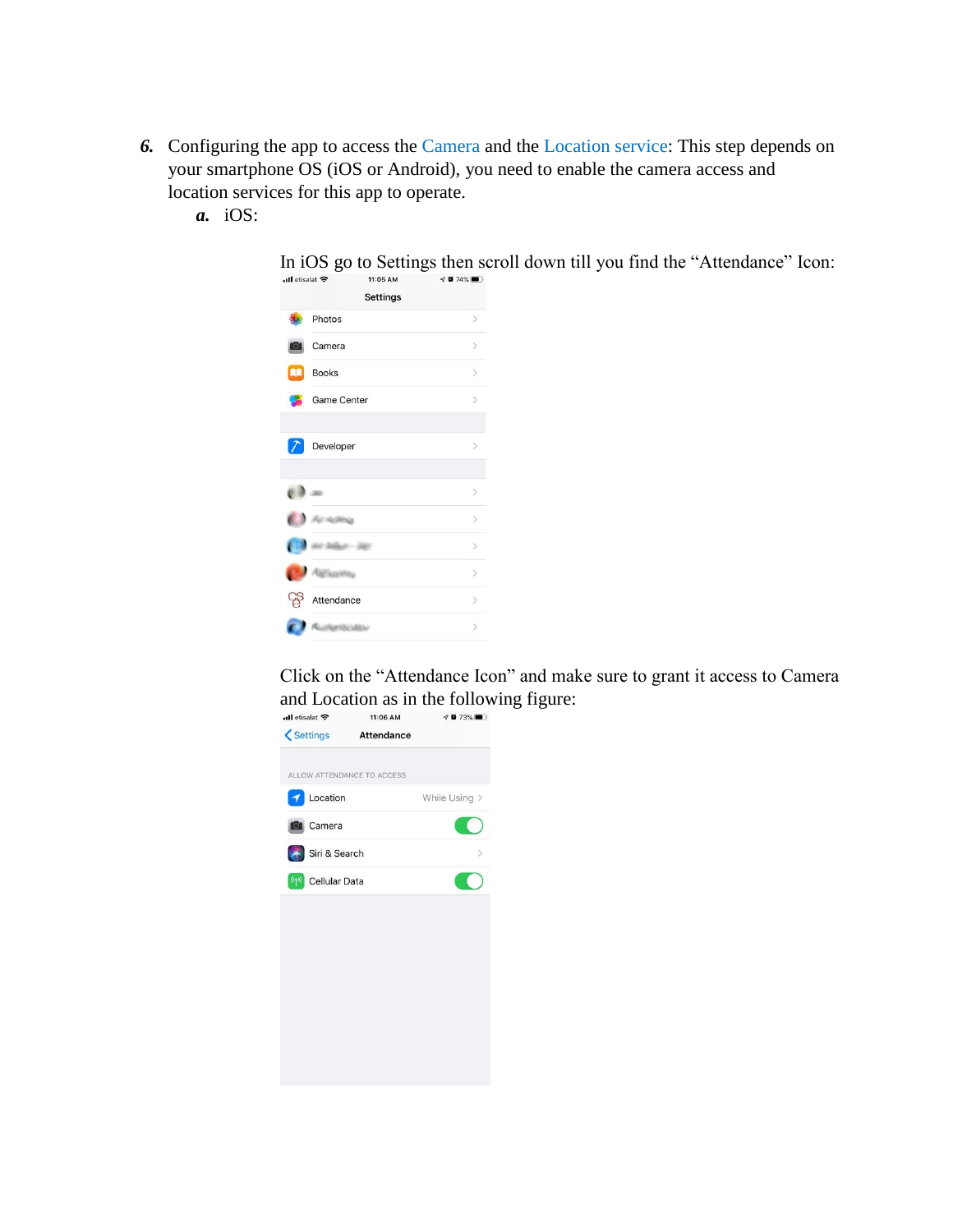- *6.* Configuring the app to access the Camera and the Location service: This step depends on your smartphone OS (iOS or Android), you need to enable the camera access and location services for this app to operate.
	- *a.* iOS:



Click on the "Attendance Icon" and make sure to grant it access to Camera and Location as in the following figure:<br> $\frac{1}{\sqrt{2}}$  and  $\frac{1}{\sqrt{2}}$  and  $\frac{1}{\sqrt{2}}$  and  $\frac{1}{\sqrt{2}}$